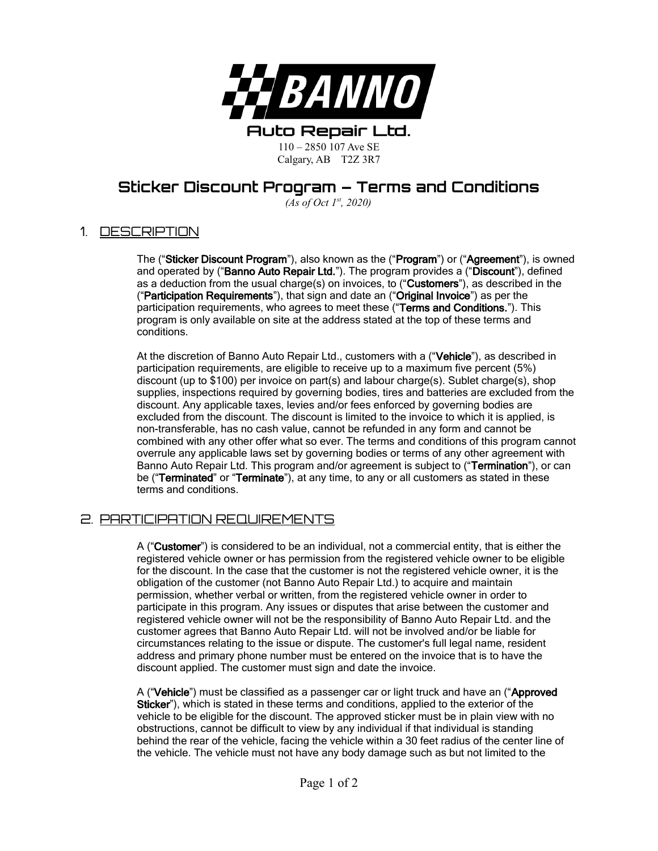

# **Sticker Discount Program – Terms and Conditions**

*(As of Oct 1st, 2020)*

### 1. DESCRIPTION

The ("Sticker Discount Program"), also known as the ("Program") or ("Agreement"), is owned and operated by ("Banno Auto Repair Ltd."). The program provides a ("Discount"), defined as a deduction from the usual charge(s) on invoices, to ("Customers"), as described in the ("Participation Requirements"), that sign and date an ("Original Invoice") as per the participation requirements, who agrees to meet these ("Terms and Conditions."). This program is only available on site at the address stated at the top of these terms and conditions.

At the discretion of Banno Auto Repair Ltd., customers with a ("Vehicle"), as described in participation requirements, are eligible to receive up to a maximum five percent (5%) discount (up to \$100) per invoice on part(s) and labour charge(s). Sublet charge(s), shop supplies, inspections required by governing bodies, tires and batteries are excluded from the discount. Any applicable taxes, levies and/or fees enforced by governing bodies are excluded from the discount. The discount is limited to the invoice to which it is applied, is non-transferable, has no cash value, cannot be refunded in any form and cannot be combined with any other offer what so ever. The terms and conditions of this program cannot overrule any applicable laws set by governing bodies or terms of any other agreement with Banno Auto Repair Ltd. This program and/or agreement is subject to ("Termination"), or can be ("Terminated" or "Terminate"), at any time, to any or all customers as stated in these terms and conditions.

#### 2. PARTICIPATION REQUIREMENTS

A ("Customer") is considered to be an individual, not a commercial entity, that is either the registered vehicle owner or has permission from the registered vehicle owner to be eligible for the discount. In the case that the customer is not the registered vehicle owner, it is the obligation of the customer (not Banno Auto Repair Ltd.) to acquire and maintain permission, whether verbal or written, from the registered vehicle owner in order to participate in this program. Any issues or disputes that arise between the customer and registered vehicle owner will not be the responsibility of Banno Auto Repair Ltd. and the customer agrees that Banno Auto Repair Ltd. will not be involved and/or be liable for circumstances relating to the issue or dispute. The customer's full legal name, resident address and primary phone number must be entered on the invoice that is to have the discount applied. The customer must sign and date the invoice.

A ("Vehicle") must be classified as a passenger car or light truck and have an ("Approved Sticker"), which is stated in these terms and conditions, applied to the exterior of the vehicle to be eligible for the discount. The approved sticker must be in plain view with no obstructions, cannot be difficult to view by any individual if that individual is standing behind the rear of the vehicle, facing the vehicle within a 30 feet radius of the center line of the vehicle. The vehicle must not have any body damage such as but not limited to the